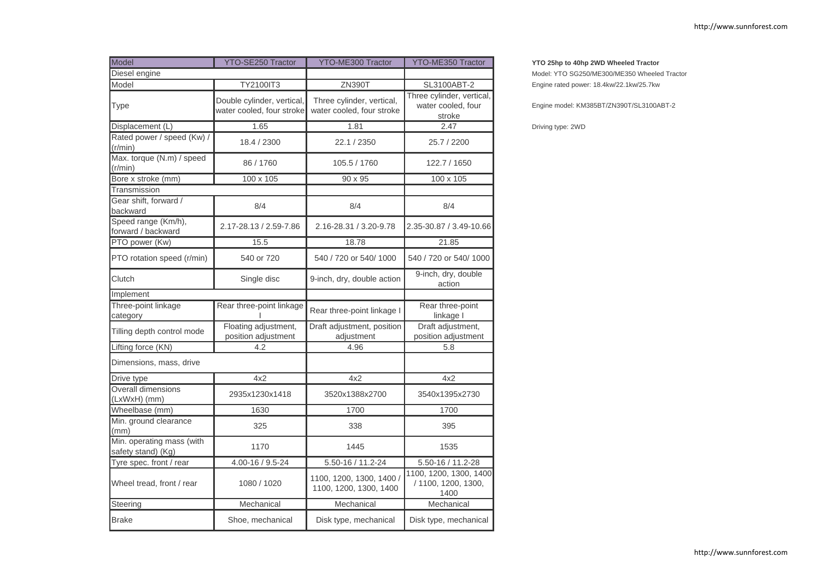| Model                                           | <b>YTO-SE250 Tractor</b>                                | YTO-ME300 Tractor                                      | YTO-ME350 Tractor                                         |
|-------------------------------------------------|---------------------------------------------------------|--------------------------------------------------------|-----------------------------------------------------------|
| Diesel engine                                   |                                                         |                                                        |                                                           |
| Model                                           | <b>TY2100IT3</b>                                        | <b>ZN390T</b>                                          | SL3100ABT-2                                               |
| Type                                            | Double cylinder, vertical,<br>water cooled, four stroke | Three cylinder, vertical,<br>water cooled, four stroke | Three cylinder, vertical,<br>water cooled, four<br>stroke |
| Displacement (L)                                | 1.65                                                    | 1.81                                                   | 2.47                                                      |
| Rated power / speed (Kw) /<br>(r/min)           | 18.4 / 2300                                             | 22.1 / 2350                                            | 25.7 / 2200                                               |
| Max. torque (N.m) / speed<br>(r/min)            | 86 / 1760                                               | 105.5 / 1760                                           | 122.7 / 1650                                              |
| Bore x stroke (mm)                              | 100 x 105                                               | 90 x 95                                                | 100 x 105                                                 |
| Transmission                                    |                                                         |                                                        |                                                           |
| Gear shift, forward /<br>backward               | 8/4                                                     | 8/4                                                    | 8/4                                                       |
| Speed range (Km/h),<br>forward / backward       | 2.17-28.13 / 2.59-7.86                                  | 2.16-28.31 / 3.20-9.78                                 | 2.35-30.87 / 3.49-10.66                                   |
| PTO power (Kw)                                  | 15.5                                                    | 18.78                                                  | 21.85                                                     |
| PTO rotation speed (r/min)                      | 540 or 720                                              | 540 / 720 or 540/1000                                  | 540 / 720 or 540/ 1000                                    |
| Clutch                                          | Single disc                                             | 9-inch, dry, double action                             | 9-inch, dry, double<br>action                             |
| Implement                                       |                                                         |                                                        |                                                           |
| Three-point linkage<br>category                 | Rear three-point linkage                                | Rear three-point linkage I                             | Rear three-point<br>linkage I                             |
| Tilling depth control mode                      | Floating adjustment,<br>position adjustment             | Draft adjustment, position<br>adjustment               | Draft adjustment,<br>position adjustment                  |
| Lifting force (KN)                              | 4.2                                                     | 4.96                                                   | 5.8                                                       |
| Dimensions, mass, drive                         |                                                         |                                                        |                                                           |
| Drive type                                      | 4x2                                                     | 4x2                                                    | 4x2                                                       |
| Overall dimensions<br>(LxWxH) (mm)              | 2935x1230x1418                                          | 3520x1388x2700                                         | 3540x1395x2730                                            |
| Wheelbase (mm)                                  | 1630                                                    | 1700                                                   | 1700                                                      |
| Min. ground clearance<br>(mm)                   | 325                                                     | 338                                                    | 395                                                       |
| Min. operating mass (with<br>safety stand) (Kg) | 1170                                                    | 1445                                                   | 1535                                                      |
| Tyre spec. front / rear                         | 4.00-16 / 9.5-24                                        | 5.50-16 / 11.2-24                                      | 5.50-16 / 11.2-28                                         |
| Wheel tread, front / rear                       | 1080 / 1020                                             | 1100, 1200, 1300, 1400 /<br>1100, 1200, 1300, 1400     | 1100, 1200, 1300, 1400<br>/ 1100, 1200, 1300,<br>1400     |
| Steering                                        | Mechanical                                              | Mechanical                                             | Mechanical                                                |
| <b>Brake</b>                                    | Shoe, mechanical                                        | Disk type, mechanical                                  | Disk type, mechanical                                     |

## **YTO 25hp to 40hp 2WD Wheeled Tractor**

Model: YTO SG250/ME300/ME350 Wheeled Tractor Engine rated power: 18.4kw/22.1kw/25.7kw

Engine model: KM385BT/ZN390T/SL3100ABT-2

Driving type: 2WD